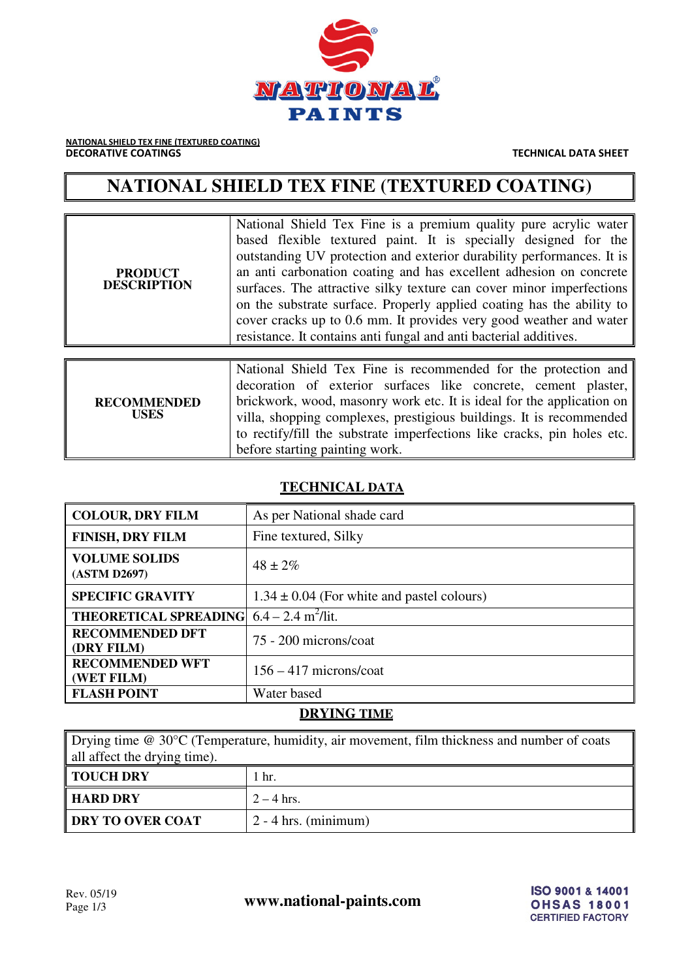

NATIONAL SHIELD TEX FINE (TEXTURED COATING) **DECORATIVE COATINGS** THE CONSTRUCTED ASSESSED AS A RESIDENCE OF THE CHINESE TECHNICAL DATA SHEET

# **NATIONAL SHIELD TEX FINE (TEXTURED COATING)**

| <b>PRODUCT</b><br><b>DESCRIPTION</b> | National Shield Tex Fine is a premium quality pure acrylic water<br>based flexible textured paint. It is specially designed for the<br>outstanding UV protection and exterior durability performances. It is<br>an anti-carbonation coating and has excellent adhesion on concrete<br>surfaces. The attractive silky texture can cover minor imperfections<br>on the substrate surface. Properly applied coating has the ability to<br>cover cracks up to 0.6 mm. It provides very good weather and water<br>resistance. It contains anti fungal and anti bacterial additives. |
|--------------------------------------|--------------------------------------------------------------------------------------------------------------------------------------------------------------------------------------------------------------------------------------------------------------------------------------------------------------------------------------------------------------------------------------------------------------------------------------------------------------------------------------------------------------------------------------------------------------------------------|
| <b>RECOMMENDED</b><br><b>USES</b>    | National Shield Tex Fine is recommended for the protection and<br>decoration of exterior surfaces like concrete, cement plaster,<br>brickwork, wood, masonry work etc. It is ideal for the application on<br>villa, shopping complexes, prestigious buildings. It is recommended<br>to rectify/fill the substrate imperfections like cracks, pin holes etc.<br>before starting painting work.                                                                                                                                                                                  |

### **TECHNICAL DATA**

| <b>COLOUR, DRY FILM</b>                                       | As per National shade card                     |
|---------------------------------------------------------------|------------------------------------------------|
| <b>FINISH, DRY FILM</b>                                       | Fine textured, Silky                           |
| <b>VOLUME SOLIDS</b><br>(ASTM D2697)                          | $48 \pm 2\%$                                   |
| <b>SPECIFIC GRAVITY</b>                                       | $1.34 \pm 0.04$ (For white and pastel colours) |
| <b>THEORETICAL SPREADING</b> $6.4 - 2.4$ m <sup>2</sup> /lit. |                                                |
| <b>RECOMMENDED DFT</b><br>(DRY FILM)                          | 75 - 200 microns/coat                          |
| <b>RECOMMENDED WFT</b><br>(WET FILM)                          | $156 - 417$ microns/coat                       |
| <b>FLASH POINT</b>                                            | Water based                                    |

## **DRYING TIME**

Drying time @ 30°C (Temperature, humidity, air movement, film thickness and number of coats all affect the drying time).

| <b>TOUCH DRY</b>        | hr.                    |
|-------------------------|------------------------|
| ∥ HARD DRY              | $2 - 4$ hrs.           |
| <b>DRY TO OVER COAT</b> | $2 - 4$ hrs. (minimum) |

Rev. 05/19<br>Page 1/3 **www.national-paints.com**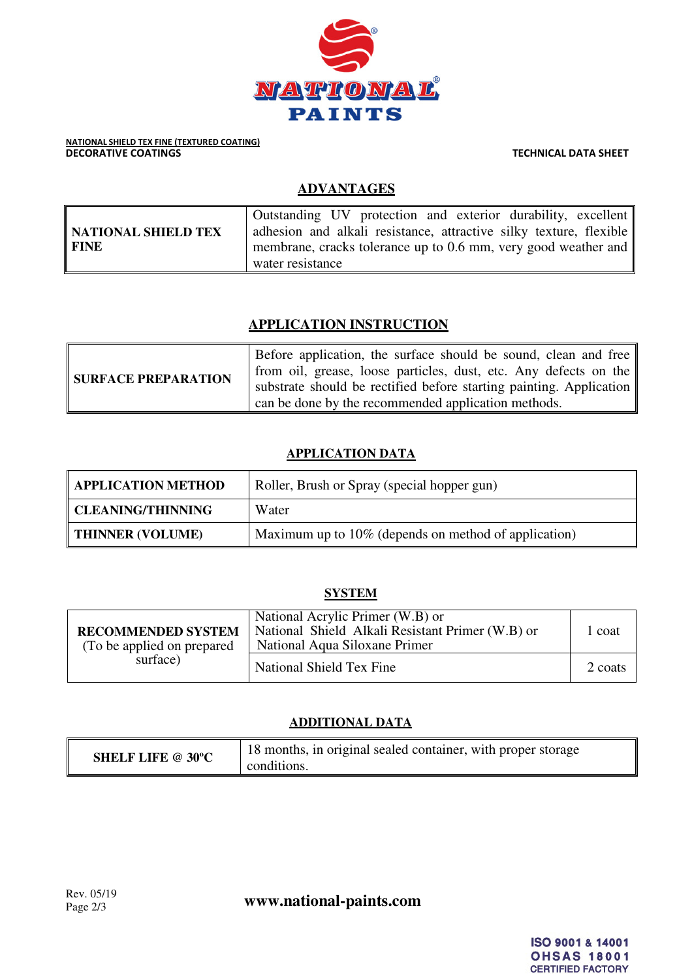

## **ADVANTAGES**

|                     | Outstanding UV protection and exterior durability, excellent               |
|---------------------|----------------------------------------------------------------------------|
| NATIONAL SHIELD TEX | adhesion and alkali resistance, attractive silky texture, flexible         |
| <b>FINE</b>         | membrane, cracks tolerance up to 0.6 mm, very good weather and $\parallel$ |
|                     | water resistance                                                           |

## **APPLICATION INSTRUCTION**

| <b>SURFACE PREPARATION</b> | Before application, the surface should be sound, clean and free<br>from oil, grease, loose particles, dust, etc. Any defects on the |
|----------------------------|-------------------------------------------------------------------------------------------------------------------------------------|
|                            | substrate should be rectified before starting painting. Application                                                                 |
|                            | can be done by the recommended application methods.                                                                                 |

## **APPLICATION DATA**

| <b>APPLICATION METHOD</b> | Roller, Brush or Spray (special hopper gun)          |
|---------------------------|------------------------------------------------------|
| <b>CLEANING/THINNING</b>  | Water                                                |
| <b>THINNER (VOLUME)</b>   | Maximum up to 10% (depends on method of application) |

## **SYSTEM**

| <b>RECOMMENDED SYSTEM</b><br>(To be applied on prepared)<br>surface) | National Acrylic Primer (W.B) or<br>National Shield Alkali Resistant Primer (W.B) or<br>National Aqua Siloxane Primer | coat    |
|----------------------------------------------------------------------|-----------------------------------------------------------------------------------------------------------------------|---------|
|                                                                      | National Shield Tex Fine                                                                                              | 2 coats |

## **ADDITIONAL DATA**

| <b>SHELF LIFE @ 30°C</b> | 18 months, in original sealed container, with proper storage<br>conditions. |
|--------------------------|-----------------------------------------------------------------------------|
|--------------------------|-----------------------------------------------------------------------------|